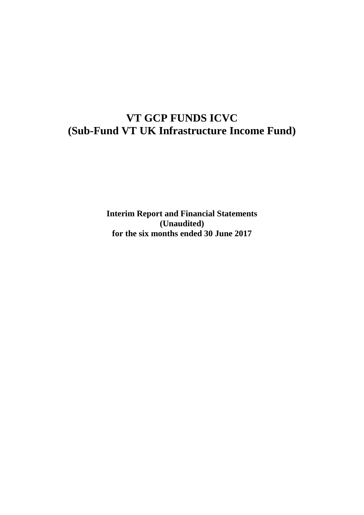# **VT GCP FUNDS ICVC (Sub-Fund VT UK Infrastructure Income Fund)**

**Interim Report and Financial Statements (Unaudited) for the six months ended 30 June 2017**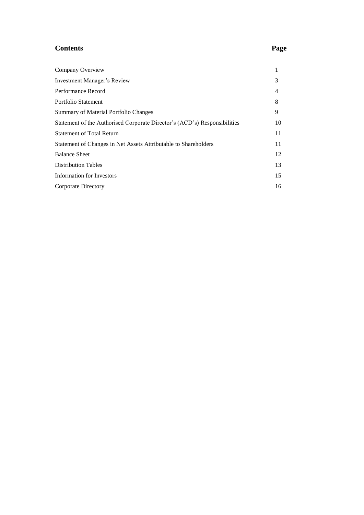# **Contents Page**

| Company Overview                                                          |    |
|---------------------------------------------------------------------------|----|
| Investment Manager's Review                                               | 3  |
| Performance Record                                                        | 4  |
| Portfolio Statement                                                       | 8  |
| Summary of Material Portfolio Changes                                     | 9  |
| Statement of the Authorised Corporate Director's (ACD's) Responsibilities | 10 |
| <b>Statement of Total Return</b>                                          | 11 |
| Statement of Changes in Net Assets Attributable to Shareholders           | 11 |
| <b>Balance Sheet</b>                                                      | 12 |
| <b>Distribution Tables</b>                                                | 13 |
| Information for Investors                                                 | 15 |
| Corporate Directory                                                       | 16 |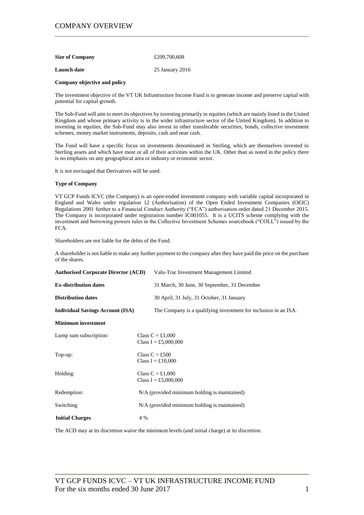| <b>Size of Company</b> | £209,700,608 |
|------------------------|--------------|
|                        |              |

**Launch date** 25 January 2016

#### **Company objective and policy**

The investment objective of the VT UK Infrastructure Income Fund is to generate income and preserve capital with potential for capital growth.

The Sub-Fund will aim to meet its objectives by investing primarily in equities (which are mainly listed in the United Kingdom and whose primary activity is in the wider infrastructure sector of the United Kingdom). In addition to investing in equities, the Sub-Fund may also invest in other transferable securities, bonds, collective investment schemes, money market instruments, deposits, cash and near cash.

The Fund will have a specific focus on investments denominated in Sterling, which are themselves invested in Sterling assets and which have most or all of their activities within the UK. Other than as noted in the policy there is no emphasis on any geographical area or industry or economic sector.

It is not envisaged that Derivatives will be used.

### **Type of Company**

VT GCP Funds ICVC (the Company) is an open-ended investment company with variable capital incorporated in England and Wales under regulation 12 (Authorisation) of the Open Ended Investment Companies (OEIC) Regulations 2001 further to a Financial Conduct Authority ("FCA") authorisation order dated 21 December 2015. The Company is incorporated under registration number IC001055. It is a UCITS scheme complying with the investment and borrowing powers rules in the Collective Investment Schemes sourcebook ("COLL") issued by the FCA.

Shareholders are not liable for the debts of the Fund.

A shareholder is not liable to make any further payment to the company after they have paid the price on the purchase of the shares.

| <b>Authorised Corporate Director (ACD)</b> | Valu-Trac Investment Management Limited                         |
|--------------------------------------------|-----------------------------------------------------------------|
| <b>Ex-distribution dates</b>               | 31 March, 30 June, 30 September, 31 December                    |
| <b>Distribution dates</b>                  | 30 April, 31 July, 31 October, 31 January                       |
| <b>Individual Savings Account (ISA)</b>    | The Company is a qualifying investment for inclusion in an ISA. |
| <b>Minimum</b> investment                  |                                                                 |
| Lump sum subscription:                     | Class $C = £1,000$<br>Class I = £5,000,000                      |
| Top-up:                                    | Class $C = £500$<br>Class I = £10,000                           |
| Holding:                                   | Class $C = £1,000$<br>Class I = £5,000,000                      |
| Redemption:                                | N/A (provided minimum holding is maintained)                    |
| Switching                                  | N/A (provided minimum holding is maintained)                    |
| <b>Initial Charges</b>                     | 4 %                                                             |

The ACD may at its discretion waive the minimum levels (and initial charge) at its discretion.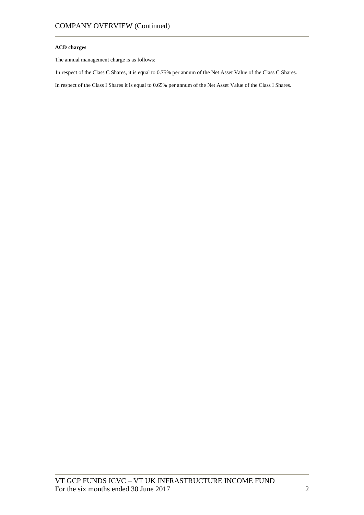### **ACD charges**

The annual management charge is as follows:

In respect of the Class C Shares, it is equal to 0.75% per annum of the Net Asset Value of the Class C Shares.

In respect of the Class I Shares it is equal to 0.65% per annum of the Net Asset Value of the Class I Shares.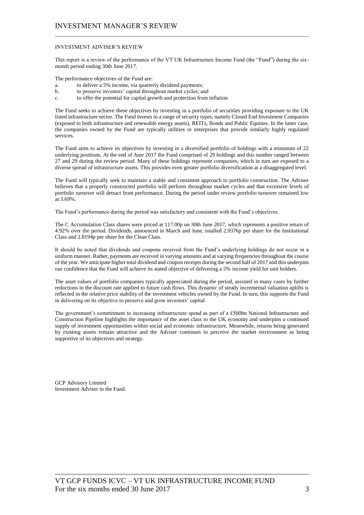### INVESTMENT ADVISER'S REVIEW

This report is a review of the performance of the VT UK Infrastructure Income Fund (the "Fund") during the sixmonth period ending 30th June 2017.

The performance objectives of the Fund are:

- a. to deliver a 5% income, via quarterly dividend payments;
- b. to preserve investors' capital throughout market cycles; and
- c. to offer the potential for capital growth and protection from inflation

The Fund seeks to achieve these objectives by investing in a portfolio of securities providing exposure to the UK listed infrastructure sector. The Fund invests in a range of security types, namely Closed End Investment Companies (exposed to both infrastructure and renewable energy assets), REITs, Bonds and Public Equities. In the latter case, the companies owned by the Fund are typically utilities or enterprises that provide similarly highly regulated services.

The Fund aims to achieve its objectives by investing in a diversified portfolio of holdings with a minimum of 22 underlying positions. At the end of June 2017 the Fund comprised of 29 holdings and this number ranged between 27 and 29 during the review period. Many of these holdings represent companies, which in turn are exposed to a diverse spread of infrastructure assets. This provides even greater portfolio diversification at a disaggregated level.

The Fund will typically seek to maintain a stable and consistent approach to portfolio construction. The Adviser believes that a properly constructed portfolio will perform throughout market cycles and that excessive levels of portfolio turnover will detract from performance. During the period under review portfolio turnover remained low at 3.69%.

The Fund's performance during the period was satisfactory and consistent with the Fund's objectives.

The C Accumulation Class shares were priced at 117.00p on 30th June 2017, which represents a positive return of 4.92% over the period. Dividends, announced in March and June, totalled 2.9376p per share for the Institutional Class and 2.8194p per share for the Clean Class.

It should be noted that dividends and coupons received from the Fund's underlying holdings do not occur in a uniform manner. Rather, payments are received in varying amounts and at varying frequencies throughout the course of the year. We anticipate higher total dividend and coupon receipts during the second half of 2017 and this underpins our confidence that the Fund will achieve its stated objective of delivering a 5% income yield for unit holders.

The asset values of portfolio companies typically appreciated during the period, assisted in many cases by further reductions to the discount rate applied to future cash flows. This dynamic of steady incremental valuation uplifts is reflected in the relative price stability of the investment vehicles owned by the Fund. In turn, this supports the Fund in delivering on its objective to preserve and grow investors' capital.

The government's commitment to increasing infrastructure spend as part of a £500bn National Infrastructure and Construction Pipeline highlights the importance of the asset class to the UK economy and underpins a continued supply of investment opportunities within social and economic infrastructure. Meanwhile, returns being generated by existing assets remain attractive and the Adviser continues to perceive the market environment as being supportive of its objectives and strategy.

GCP Advisory Limited Investment Adviser to the Fund.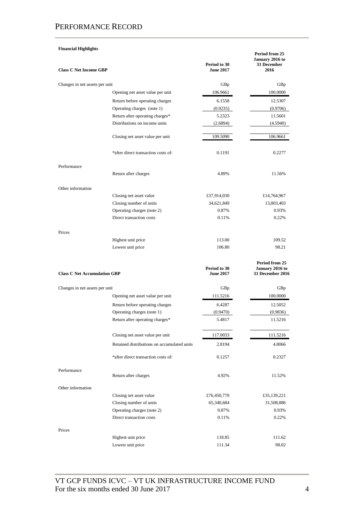### **Financial Highlights Class C Net Income GBP Period to 30 June 2017 Period from 25 January 2016 to 31 December 2016** Changes in net assets per unit GBp GBp Opening net asset value per unit 106.9661 100.0000 Return before operating charges 6.1558 12.5307 Operating charges (note 1) (0.9235) (0.9706) Return after operating charges\* 5.2323 11.5601 Distributions on income units (2.6894) (4.5940) Closing net asset value per unit 109.5090 106.9661 \*after direct transaction costs of: 0.1191 0.2277 Performance Return after charges 4.89% 11.56% Other information Closing net asset value  $£37,914,030$   $£14,764,967$ Closing number of units 34,621,849 13,803,403 Operating charges (note 2) 0.87% 0.93% Direct transaction costs 0.11% 0.22% Prices Highest unit price 113.00 109.52 Lowest unit price 106.80 98.21 **Class C Net Accumulation GBP Period to 30 June 2017 Period from 25 January 2016 to 31 December 2016** Changes in net assets per unit GBp GBp Opening net asset value per unit 111.5216 100.0000 Return before operating charges 6.4287 12.5052 Operating charges (note 1) (0.9470) (0.9836) Return after operating charges\* 5.4817 11.5216 Closing net asset value per unit 117.0033 111.5216 Retained distributions on accumulated units 2.8194 4.8066 \*after direct transaction costs of: 0.1257 0.2327 Performance Return after charges 4.92% 11.52% Other information Closing net asset value  $£76,450,770$  £35,139,221 Closing number of units 65,340,684 31,508,886 Operating charges (note 2) 0.87% 0.93% Direct transaction costs 0.11% 0.22% Prices Highest unit price 118.85 111.62

Lowest unit price 111.34 98.02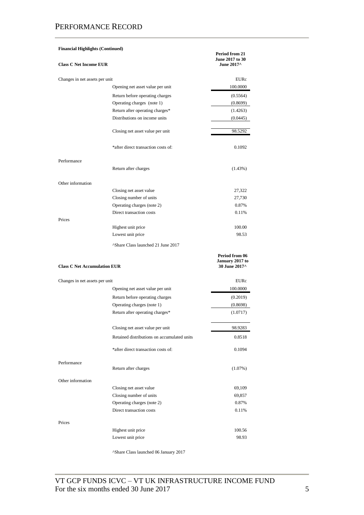| <b>Financial Highlights (Continued)</b> |                                                | Period from 21<br>June 2017 to 30                  |
|-----------------------------------------|------------------------------------------------|----------------------------------------------------|
| <b>Class C Net Income EUR</b>           |                                                | June 2017^                                         |
| Changes in net assets per unit          |                                                | EURc                                               |
|                                         | Opening net asset value per unit               | 100.0000                                           |
|                                         | Return before operating charges                | (0.5564)                                           |
|                                         | Operating charges (note 1)                     | (0.8699)                                           |
|                                         | Return after operating charges*                | (1.4263)                                           |
|                                         | Distributions on income units                  | (0.0445)                                           |
|                                         | Closing net asset value per unit               | 98.5292                                            |
|                                         | *after direct transaction costs of:            | 0.1092                                             |
| Performance                             |                                                |                                                    |
|                                         | Return after charges                           | (1.43%)                                            |
| Other information                       |                                                |                                                    |
|                                         | Closing net asset value                        | 27,322                                             |
|                                         | Closing number of units                        | 27,730                                             |
|                                         | Operating charges (note 2)                     | 0.87%                                              |
| Prices                                  | Direct transaction costs                       | 0.11%                                              |
|                                         | Highest unit price                             | 100.00                                             |
|                                         | Lowest unit price                              | 98.53                                              |
|                                         | <sup>^</sup> Share Class launched 21 June 2017 |                                                    |
|                                         |                                                |                                                    |
| <b>Class C Net Accumulation EUR</b>     |                                                | Period from 06<br>January 2017 to<br>30 June 2017^ |
| Changes in net assets per unit          |                                                | EURc                                               |
|                                         | Opening net asset value per unit               | 100.0000                                           |
|                                         | Return before operating charges                | (0.2019)                                           |
|                                         | Operating charges (note 1)                     | (0.8698)                                           |
|                                         | Return after operating charges*                | (1.0717)                                           |
|                                         | Closing net asset value per unit               | 98.9283                                            |
|                                         | Retained distributions on accumulated units    | 0.8518                                             |
|                                         | *after direct transaction costs of:            | 0.1094                                             |
| Performance                             | Return after charges                           | (1.07%)                                            |
| Other information                       |                                                |                                                    |
|                                         | Closing net asset value                        | 69,109                                             |
|                                         | Closing number of units                        | 69,857                                             |
|                                         | Operating charges (note 2)                     | 0.87%                                              |
|                                         | Direct transaction costs                       | 0.11%                                              |
| Prices                                  |                                                |                                                    |
|                                         | Highest unit price                             | 100.56                                             |
|                                         | Lowest unit price                              | 98.93                                              |
|                                         |                                                |                                                    |

^Share Class launched 06 January 2017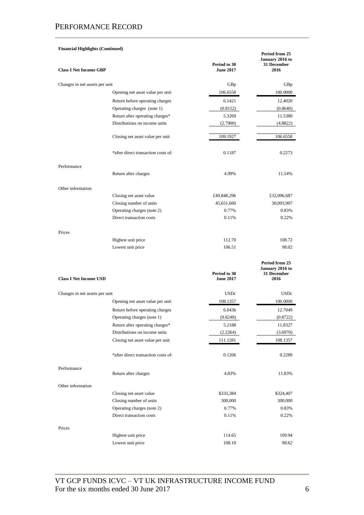### **Financial Highlights (Continued) Class I Net Income GBP Period to 30 June 2017 Period from 25 January 2016 to 31 December 2016** Changes in net assets per unit GBp GBp Opening net asset value per unit 106.6558 100.0000 Return before operating charges 6.1421 12.4020 Operating charges (note 1) (0.8152) (0.8640) Return after operating charges\* 5.3269 11.5380 Distributions on income units (2.7900) (4.8822) Closing net asset value per unit 109.1927 106.6558 \*after direct transaction costs of: 0.1187 0.2273 Performance Return after charges 4.99% 11.54% Other information Closing net asset value  $£49,848,296$   $£32,096,687$ Closing number of units 45,651,660 30,093,907 Operating charges (note 2) 0.77% 0.83% Direct transaction costs 0.11% 0.22% Prices Highest unit price 112.70 108.72 Lowest unit price 106.51 98.02 **Period from 25**

| <b>Class I Net Income USD</b>  |                                     | Period to 30<br><b>June 2017</b> | January 2016 to<br>31 December<br>2016 |
|--------------------------------|-------------------------------------|----------------------------------|----------------------------------------|
| Changes in net assets per unit |                                     | <b>USDc</b>                      | <b>USDc</b>                            |
|                                | Opening net asset value per unit    | 108.1357                         | 100.0000                               |
|                                | Return before operating charges     | 6.0436                           | 12.7049                                |
|                                | Operating charges (note 1)          | (0.8248)                         | (0.8722)                               |
|                                | Return after operating charges*     | 5.2188                           | 11.8327                                |
|                                | Distributions on income units       | (2.2264)                         | (3.6970)                               |
|                                | Closing net asset value per unit    | 111.1281                         | 108.1357                               |
|                                | *after direct transaction costs of: | 0.1206                           | 0.2289                                 |
| Performance                    | Return after charges                | 4.83%                            | 11.83%                                 |
| Other information              |                                     |                                  |                                        |
|                                | Closing net asset value             | \$333,384                        | \$324,407                              |
|                                | Closing number of units             | 300,000                          | 300,000                                |
|                                | Operating charges (note 2)          | 0.77%                            | 0.83%                                  |
|                                | Direct transaction costs            | 0.11%                            | 0.22%                                  |
| Prices                         |                                     |                                  |                                        |
|                                | Highest unit price                  | 114.65                           | 109.94                                 |
|                                | Lowest unit price                   | 108.10                           | 98.62                                  |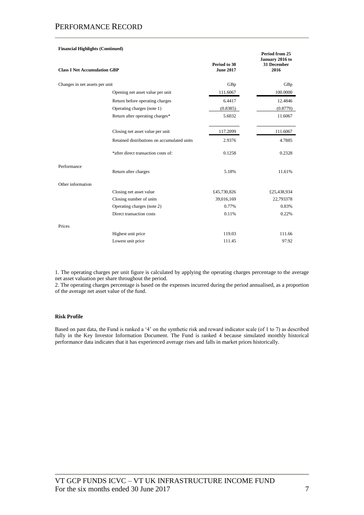| <b>Financial Highlights (Continued)</b> |                                             |                                  |                                                          |
|-----------------------------------------|---------------------------------------------|----------------------------------|----------------------------------------------------------|
| <b>Class I Net Accumulation GBP</b>     |                                             | Period to 30<br><b>June 2017</b> | Period from 25<br>January 2016 to<br>31 December<br>2016 |
| Changes in net assets per unit          |                                             | GBp                              | GBp                                                      |
|                                         | Opening net asset value per unit            | 111.6067                         | 100.0000                                                 |
|                                         | Return before operating charges             | 6.4417                           | 12.4846                                                  |
|                                         | Operating charges (note 1)                  | (0.8385)                         | (0.8779)                                                 |
|                                         | Return after operating charges*             | 5.6032                           | 11.6067                                                  |
|                                         | Closing net asset value per unit            | 117.2099                         | 111.6067                                                 |
|                                         | Retained distributions on accumulated units | 2.9376                           | 4.7885                                                   |
|                                         | *after direct transaction costs of:         | 0.1258                           | 0.2328                                                   |
| Performance                             | Return after charges                        | 5.18%                            | 11.61%                                                   |
| Other information                       |                                             |                                  |                                                          |
|                                         | Closing net asset value                     | £45,730,826                      | £25,438,934                                              |
|                                         | Closing number of units                     | 39,016,169                       | 22,793378                                                |
|                                         | Operating charges (note 2)                  | 0.77%                            | 0.83%                                                    |
|                                         | Direct transaction costs                    | 0.11%                            | 0.22%                                                    |
| Prices                                  |                                             |                                  |                                                          |
|                                         | Highest unit price                          | 119.03                           | 111.66                                                   |
|                                         | Lowest unit price                           | 111.45                           | 97.92                                                    |

1. The operating charges per unit figure is calculated by applying the operating charges percentage to the average net asset valuation per share throughout the period.

2. The operating charges percentage is based on the expenses incurred during the period annualised, as a proportion of the average net asset value of the fund.

### **Risk Profile**

Based on past data, the Fund is ranked a '4' on the synthetic risk and reward indicator scale (of 1 to 7) as described fully in the Key Investor Information Document. The Fund is ranked 4 because simulated monthly historical performance data indicates that it has experienced average rises and falls in market prices historically.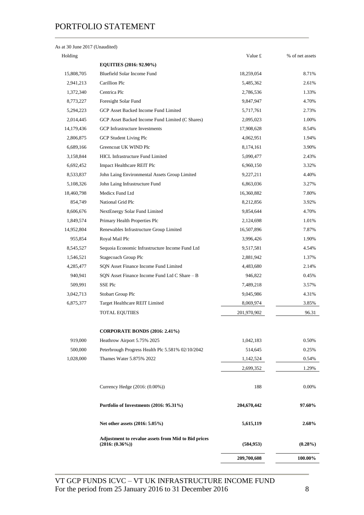# PORTFOLIO STATEMENT

| As at 30 June 2017 (Unaudited) |  |
|--------------------------------|--|
|--------------------------------|--|

| Holding    |                                                                                 | Value £     | % of net assets |
|------------|---------------------------------------------------------------------------------|-------------|-----------------|
|            | <b>EQUITIES (2016: 92.90%)</b>                                                  |             |                 |
| 15,808,705 | Bluefield Solar Income Fund                                                     | 18,259,054  | 8.71%           |
| 2,941,213  | Carillion Plc                                                                   | 5,485,362   | 2.61%           |
| 1,372,340  | Centrica Plc                                                                    | 2,786,536   | 1.33%           |
| 8,773,227  | Foresight Solar Fund                                                            | 9,847,947   | 4.70%           |
| 5,294,223  | GCP Asset Backed Income Fund Limited                                            | 5,717,761   | 2.73%           |
| 2,014,445  | GCP Asset Backed Income Fund Limited (C Shares)                                 | 2,095,023   | 1.00%           |
| 14,179,436 | <b>GCP</b> Infrastructure Investments                                           | 17,908,628  | 8.54%           |
| 2,806,875  | GCP Student Living Plc                                                          | 4,062,951   | 1.94%           |
| 6,689,166  | Greencoat UK WIND Plc                                                           | 8,174,161   | 3.90%           |
| 3,158,844  | <b>HICL Infrastructure Fund Limited</b>                                         | 5,090,477   | 2.43%           |
| 6,692,452  | <b>Impact Healthcare REIT Plc</b>                                               | 6,960,150   | 3.32%           |
| 8,533,837  | John Laing Environmental Assets Group Limited                                   | 9,227,211   | 4.40%           |
| 5,108,326  | John Laing Infrastructure Fund                                                  | 6,863,036   | 3.27%           |
| 18,460,798 | Medicx Fund Ltd                                                                 | 16,360,882  | 7.80%           |
| 854,749    | National Grid Plc                                                               | 8,212,856   | 3.92%           |
| 8,606,676  | NextEnergy Solar Fund Limited                                                   | 9,854,644   | 4.70%           |
| 1,849,574  | Primary Health Properties Plc                                                   | 2,124,698   | 1.01%           |
| 14,952,804 | Renewables Infrastructure Group Limited                                         | 16,507,896  | 7.87%           |
| 955,854    | Royal Mail Plc                                                                  | 3,996,426   | 1.90%           |
| 8,545,527  | Sequoia Economic Infrastructure Income Fund Ltd                                 | 9,517,581   | 4.54%           |
| 1,546,521  | Stagecoach Group Plc                                                            | 2,881,942   | 1.37%           |
| 4,285,477  | SQN Asset Finance Income Fund Limited                                           | 4,483,680   | 2.14%           |
| 940,941    | SQN Asset Finance Income Fund Ltd C Share - B                                   | 946,822     | 0.45%           |
| 509,991    | SSE Plc                                                                         | 7,489,218   | 3.57%           |
| 3,042,713  | Stobart Group Plc                                                               | 9,045,986   | 4.31%           |
| 6,875,377  | Target Healthcare REIT Limited                                                  | 8,069,974   | 3.85%           |
|            | <b>TOTAL EQUTIIES</b>                                                           | 201,970,902 | 96.31           |
|            | <b>CORPORATE BONDS (2016: 2.41%)</b>                                            |             |                 |
| 919,000    | Heathrow Airport 5.75% 2025                                                     | 1,042,183   | 0.50%           |
| 500,000    | Peterbrough Progress Health Plc 5.581% 02/10/2042                               | 514,645     | 0.25%           |
| 1,028,000  | Thames Water 5.875% 2022                                                        | 1,142,524   | 0.54%           |
|            |                                                                                 | 2,699,352   | 1.29%           |
|            | Currency Hedge (2016: (0.00%))                                                  | 188         | 0.00%           |
|            | Portfolio of Investments (2016: 95.31%)                                         | 204,670,442 | 97.60%          |
|            | Net other assets (2016: 5.05%)                                                  | 5,615,119   | 2.68%           |
|            | <b>Adjustment to revalue assets from Mid to Bid prices</b><br>$(2016: (0.36\%)$ | (584, 953)  | $(0.28\%)$      |
|            |                                                                                 | 209,700,608 | 100.00%         |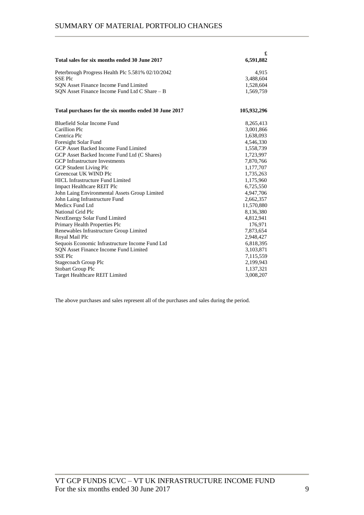|                                                       | £           |
|-------------------------------------------------------|-------------|
| Total sales for six months ended 30 June 2017         | 6,591,882   |
| Peterbrough Progress Health Plc 5.581% 02/10/2042     | 4,915       |
| <b>SSEPIc</b>                                         | 3,488,604   |
| SQN Asset Finance Income Fund Limited                 | 1,528,604   |
| SON Asset Finance Income Fund Ltd C Share - B         | 1,569,759   |
| Total purchases for the six months ended 30 June 2017 | 105,932,296 |
| Bluefield Solar Income Fund                           | 8,265,413   |
| Carillion Plc                                         | 3,001,866   |
| Centrica Plc                                          | 1,638,093   |
| Foresight Solar Fund                                  | 4,546,330   |
| GCP Asset Backed Income Fund Limited                  | 1,558,739   |
| GCP Asset Backed Income Fund Ltd (C Shares)           | 1,723,997   |
| <b>GCP</b> Infrastructure Investments                 | 7,870,766   |
| <b>GCP Student Living Plc</b>                         | 1,177,707   |
| Greencoat UK WIND Plc                                 | 1,735,263   |
| <b>HICL Infrastructure Fund Limited</b>               | 1,175,960   |
| <b>Impact Healthcare REIT Plc</b>                     | 6,725,550   |
| John Laing Environmental Assets Group Limited         | 4,947,706   |
| John Laing Infrastructure Fund                        | 2,662,357   |
| Medicx Fund Ltd                                       | 11,570,880  |
| National Grid Plc                                     | 8,136,380   |
| <b>NextEnergy Solar Fund Limited</b>                  | 4,812,941   |
| Primary Health Properties Plc                         | 176,971     |
| Renewables Infrastructure Group Limited               | 7,873,654   |
| Royal Mail Plc                                        | 2,948,427   |
| Sequois Economic Infrastructure Income Fund Ltd       | 6,818,395   |
| <b>SON Asset Finance Income Fund Limited</b>          | 3,103,871   |
| <b>SSEPIC</b>                                         | 7,115,559   |
| Stagecoach Group Plc                                  | 2,199,943   |
| <b>Stobart Group Plc</b>                              | 1,137,321   |
| Target Healthcare REIT Limited                        | 3,008,207   |

The above purchases and sales represent all of the purchases and sales during the period.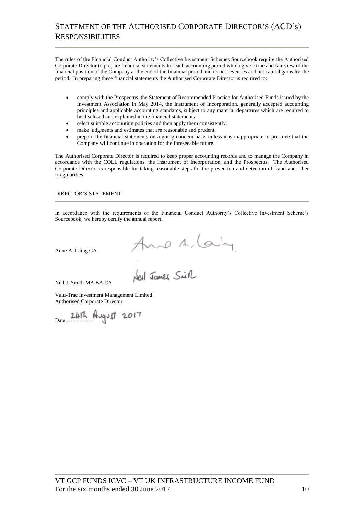# STATEMENT OF THE AUTHORISED CORPORATE DIRECTOR'S (ACD's) RESPONSIBILITIES

The rules of the Financial Conduct Authority's Collective Investment Schemes Sourcebook require the Authorised Corporate Director to prepare financial statements for each accounting period which give a true and fair view of the financial position of the Company at the end of the financial period and its net revenues and net capital gains for the period. In preparing these financial statements the Authorised Corporate Director is required to:

- comply with the Prospectus, the Statement of Recommended Practice for Authorised Funds issued by the Investment Association in May 2014, the Instrument of Incorporation, generally accepted accounting principles and applicable accounting standards, subject to any material departures which are required to be disclosed and explained in the financial statements.
- select suitable accounting policies and then apply them consistently.
- make judgments and estimates that are reasonable and prudent.
- prepare the financial statements on a going concern basis unless it is inappropriate to presume that the Company will continue in operation for the foreseeable future.

The Authorised Corporate Director is required to keep proper accounting records and to manage the Company in accordance with the COLL regulations, the Instrument of Incorporation, and the Prospectus. The Authorised Corporate Director is responsible for taking reasonable steps for the prevention and detection of fraud and other irregularities.

DIRECTOR'S STATEMENT

In accordance with the requirements of the Financial Conduct Authority's Collective Investment Scheme's Sourcebook, we hereby certify the annual report.

Anno A. Caing

Anne A. Laing CA

Neil J. Smith MA BA CA

Valu-Trac Investment Management Limited Authorised Corporate Director

Date ……………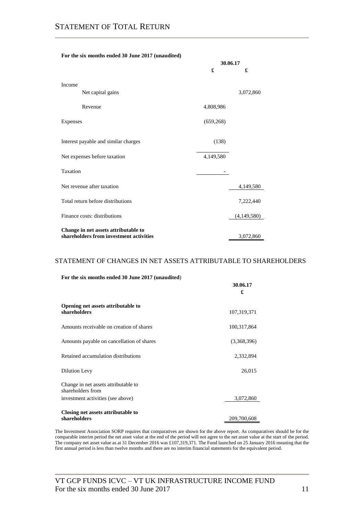| For the six months ended 30 June 2017 (unaudited) |
|---------------------------------------------------|
|---------------------------------------------------|

|                                                                                 | 30.06.17   |             |
|---------------------------------------------------------------------------------|------------|-------------|
|                                                                                 | £          | £           |
| Income                                                                          |            |             |
| Net capital gains                                                               |            | 3,072,860   |
| Revenue                                                                         | 4,808,986  |             |
| Expenses                                                                        | (659, 268) |             |
| Interest payable and similar charges                                            | (138)      |             |
| Net expenses before taxation                                                    | 4,149,580  |             |
| Taxation                                                                        |            |             |
| Net revenue after taxation                                                      |            | 4,149,580   |
| Total return before distributions                                               |            | 7,222,440   |
| Finance costs: distributions                                                    |            | (4,149,580) |
| Change in net assets attributable to<br>shareholders from investment activities |            | 3,072,860   |

### STATEMENT OF CHANGES IN NET ASSETS ATTRIBUTABLE TO SHAREHOLDERS

|  |  |  |  |  |  | For the six months ended 30 June 2017 (unaudited) |
|--|--|--|--|--|--|---------------------------------------------------|
|--|--|--|--|--|--|---------------------------------------------------|

|                                                           | 30.06.17<br>£ |
|-----------------------------------------------------------|---------------|
| Opening net assets attributable to<br>shareholders        | 107,319,371   |
| Amounts receivable on creation of shares                  | 100,317,864   |
| Amounts payable on cancellation of shares                 | (3,368,396)   |
| Retained accumulation distributions                       | 2,332,894     |
| Dilution Levy                                             | 26,015        |
| Change in net assets attributable to<br>shareholders from |               |
| investment activities (see above)                         | 3,072,860     |
| Closing net assets attributable to<br>shareholders        | 209,700,608   |

The Investment Association SORP requires that comparatives are shown for the above report. As comparatives should be for the comparable interim period the net asset value at the end of the period will not agree to the net asset value at the start of the period. The company net asset value as at 31 December 2016 was £107,319,371. The Fund launched on 25 January 2016 meaning that the first annual period is less than twelve months and there are no interim financial statements for the equivalent period.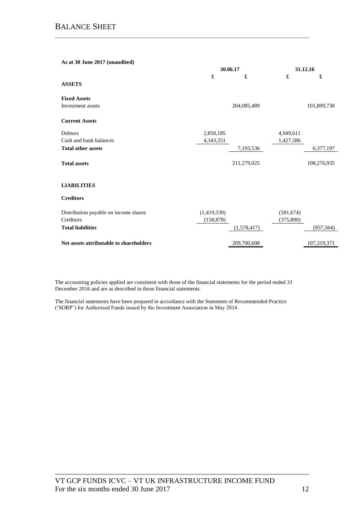### **As at 30 June 2017 (unaudited)**

|                                         | 30.06.17    | 31.12.16    |            |             |
|-----------------------------------------|-------------|-------------|------------|-------------|
|                                         | £           | £           | £          | £           |
| <b>ASSETS</b>                           |             |             |            |             |
| <b>Fixed Assets</b>                     |             |             |            |             |
| Investment assets                       |             | 204,085,489 |            | 101,899,738 |
| <b>Current Assets</b>                   |             |             |            |             |
| Debtors                                 | 2,850,185   |             | 4,949,611  |             |
| Cash and bank balances                  | 4,343,351   |             | 1,427,586  |             |
| <b>Total other assets</b>               |             | 7,193,536   |            | 6,377,197   |
| <b>Total assets</b>                     |             | 211,279,025 |            | 108,276,935 |
| <b>LIABILITIES</b>                      |             |             |            |             |
| <b>Creditors</b>                        |             |             |            |             |
| Distribution payable on income shares   | (1,419,539) |             | (581, 674) |             |
| Creditors                               | (158, 878)  |             | (375, 890) |             |
| <b>Total liabilities</b>                |             | (1,578,417) |            | (957, 564)  |
| Net assets attributable to shareholders |             | 209,700,608 |            | 107,319,371 |

The accounting policies applied are consistent with those of the financial statements for the period ended 31 December 2016 and are as described in those financial statements.

The financial statements have been prepared in accordance with the Statement of Recommended Practice ('SORP') for Authorised Funds issued by the Investment Association in May 2014.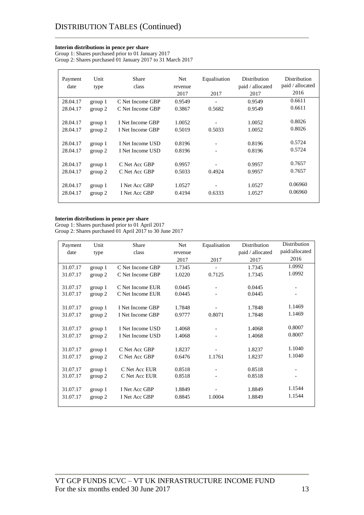### **Interim distributions in pence per share**

Group 1: Shares purchased prior to 01 January 2017 Group 2: Shares purchased 01 January 2017 to 31 March 2017

| Payment<br>date      | Unit<br>type       | Share<br>class                       | Net<br>revenue<br>2017 | Equalisation<br>2017                   | <b>Distribution</b><br>paid / allocated<br>2017 | <b>Distribution</b><br>paid / allocated<br>2016 |
|----------------------|--------------------|--------------------------------------|------------------------|----------------------------------------|-------------------------------------------------|-------------------------------------------------|
| 28.04.17             | group 1            | C Net Income GBP                     | 0.9549                 | $\overline{a}$                         | 0.9549                                          | 0.6611                                          |
| 28.04.17             | group 2            | C Net Income GBP                     | 0.3867                 | 0.5682                                 | 0.9549                                          | 0.6611                                          |
| 28.04.17<br>28.04.17 | group 1<br>group 2 | I Net Income GBP<br>I Net Income GBP | 1.0052<br>0.5019       | $\qquad \qquad \blacksquare$<br>0.5033 | 1.0052<br>1.0052                                | 0.8026<br>0.8026                                |
| 28.04.17             | group 1            | I Net Income USD                     | 0.8196                 | $\overline{\phantom{a}}$               | 0.8196                                          | 0.5724                                          |
| 28.04.17             | group 2            | I Net Income USD                     | 0.8196                 | $\overline{\phantom{a}}$               | 0.8196                                          | 0.5724                                          |
| 28.04.17<br>28.04.17 | group 1<br>group 2 | C Net Acc GBP<br>C Net Acc GBP       | 0.9957<br>0.5033       | 0.4924                                 | 0.9957<br>0.9957                                | 0.7657<br>0.7657                                |
| 28.04.17<br>28.04.17 | group 1<br>group 2 | I Net Acc GBP<br>I Net Acc GBP       | 1.0527<br>0.4194       | 0.6333                                 | 1.0527<br>1.0527                                | 0.06960<br>0.06960                              |

### **Interim distributions in pence per share**

Group 1: Shares purchased prior to 01 April 2017 Group 2: Shares purchased 01 April 2017 to 30 June 2017

| Payment  | Unit    | Share            | Net     | Equalisation             | Distribution     | Distribution             |
|----------|---------|------------------|---------|--------------------------|------------------|--------------------------|
| date     | type    | class            | revenue |                          | paid / allocated | paid/allocated           |
|          |         |                  | 2017    | 2017                     | 2017             | 2016                     |
| 31.07.17 | group 1 | C Net Income GBP | 1.7345  |                          | 1.7345           | 1.0992                   |
| 31.07.17 | group 2 | C Net Income GBP | 1.0220  | 0.7125                   | 1.7345           | 1.0992                   |
|          |         |                  |         |                          |                  |                          |
| 31.07.17 | group 1 | C Net Income EUR | 0.0445  |                          | 0.0445           |                          |
| 31.07.17 | group 2 | C Net Income EUR | 0.0445  |                          | 0.0445           |                          |
| 31.07.17 |         | I Net Income GBP | 1.7848  |                          | 1.7848           | 1.1469                   |
|          | group 1 |                  |         |                          |                  |                          |
| 31.07.17 | group 2 | I Net Income GBP | 0.9777  | 0.8071                   | 1.7848           | 1.1469                   |
|          |         |                  |         |                          |                  | 0.8007                   |
| 31.07.17 | group 1 | I Net Income USD | 1.4068  |                          | 1.4068           |                          |
| 31.07.17 | group 2 | I Net Income USD | 1.4068  |                          | 1.4068           | 0.8007                   |
|          |         |                  |         |                          |                  |                          |
| 31.07.17 | group 1 | C Net Acc GBP    | 1.8237  |                          | 1.8237           | 1.1040                   |
| 31.07.17 | group 2 | C Net Acc GBP    | 0.6476  | 1.1761                   | 1.8237           | 1.1040                   |
|          |         |                  |         |                          |                  |                          |
| 31.07.17 | group 1 | C Net Acc EUR    | 0.8518  | $\overline{\phantom{a}}$ | 0.8518           | $\overline{\phantom{a}}$ |
| 31.07.17 | group 2 | C Net Acc EUR    | 0.8518  |                          | 0.8518           |                          |
|          |         |                  |         |                          |                  | 1.1544                   |
| 31.07.17 | group 1 | I Net Acc GBP    | 1.8849  |                          | 1.8849           |                          |
| 31.07.17 | group 2 | I Net Acc GBP    | 0.8845  | 1.0004                   | 1.8849           | 1.1544                   |
|          |         |                  |         |                          |                  |                          |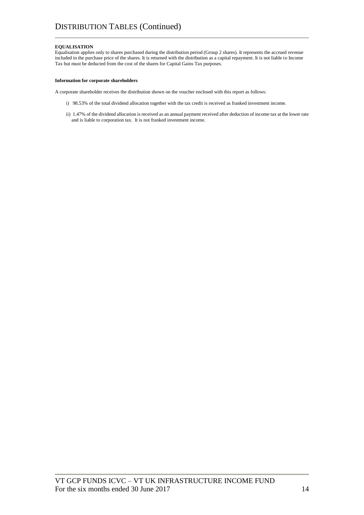### **EQUALISATION**

Equalisation applies only to shares purchased during the distribution period (Group 2 shares). It represents the accrued revenue included in the purchase price of the shares. It is returned with the distribution as a capital repayment. It is not liable to Income Tax but must be deducted from the cost of the shares for Capital Gains Tax purposes.

#### **Information for corporate shareholders**

A corporate shareholder receives the distribution shown on the voucher enclosed with this report as follows:

- i) 98.53% of the total dividend allocation together with the tax credit is received as franked investment income.
- ii) 1.47% of the dividend allocation is received as an annual payment received after deduction of income tax at the lower rate and is liable to corporation tax. It is not franked investment income.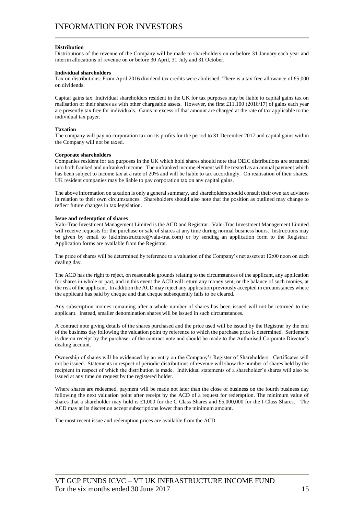### **Distribution**

Distributions of the revenue of the Company will be made to shareholders on or before 31 January each year and interim allocations of revenue on or before 30 April, 31 July and 31 October.

### **Individual shareholders**

Tax on distributions: From April 2016 dividend tax credits were abolished. There is a tax-free allowance of £5,000 on dividends.

Capital gains tax: Individual shareholders resident in the UK for tax purposes may be liable to capital gains tax on realisation of their shares as with other chargeable assets. However, the first £11,100 (2016/17) of gains each year are presently tax free for individuals. Gains in excess of that amount are charged at the rate of tax applicable to the individual tax payer.

### **Taxation**

The company will pay no corporation tax on its profits for the period to 31 December 2017 and capital gains within the Company will not be taxed.

### **Corporate shareholders**

Companies resident for tax purposes in the UK which hold shares should note that OEIC distributions are streamed into both franked and unfranked income. The unfranked income element will be treated as an annual payment which has been subject to income tax at a rate of 20% and will be liable to tax accordingly. On realisation of their shares, UK resident companies may be liable to pay corporation tax on any capital gains.

The above information on taxation is only a general summary, and shareholders should consult their own tax advisors in relation to their own circumstances. Shareholders should also note that the position as outlined may change to reflect future changes in tax legislation.

### **Issue and redemption of shares**

Valu-Trac Investment Management Limited is the ACD and Registrar. Valu-Trac Investment Management Limited will receive requests for the purchase or sale of shares at any time during normal business hours. Instructions may be given by email to (ukinfrastructure@valu-trac.com) or by sending an application form to the Registrar. Application forms are available from the Registrar.

The price of shares will be determined by reference to a valuation of the Company's net assets at 12:00 noon on each dealing day.

The ACD has the right to reject, on reasonable grounds relating to the circumstances of the applicant, any application for shares in whole or part, and in this event the ACD will return any money sent, or the balance of such monies, at the risk of the applicant. In addition the ACD may reject any application previously accepted in circumstances where the applicant has paid by cheque and that cheque subsequently fails to be cleared.

Any subscription monies remaining after a whole number of shares has been issued will not be returned to the applicant. Instead, smaller denomination shares will be issued in such circumstances.

A contract note giving details of the shares purchased and the price used will be issued by the Registrar by the end of the business day following the valuation point by reference to which the purchase price is determined. Settlement is due on receipt by the purchaser of the contract note and should be made to the Authorised Corporate Director's dealing account.

Ownership of shares will be evidenced by an entry on the Company's Register of Shareholders. Certificates will not be issued. Statements in respect of periodic distributions of revenue will show the number of shares held by the recipient in respect of which the distribution is made. Individual statements of a shareholder's shares will also be issued at any time on request by the registered holder.

Where shares are redeemed, payment will be made not later than the close of business on the fourth business day following the next valuation point after receipt by the ACD of a request for redemption. The minimum value of shares that a shareholder may hold is £1,000 for the C Class Shares and £5,000,000 for the I Class Shares. The ACD may at its discretion accept subscriptions lower than the minimum amount.

The most recent issue and redemption prices are available from the ACD.